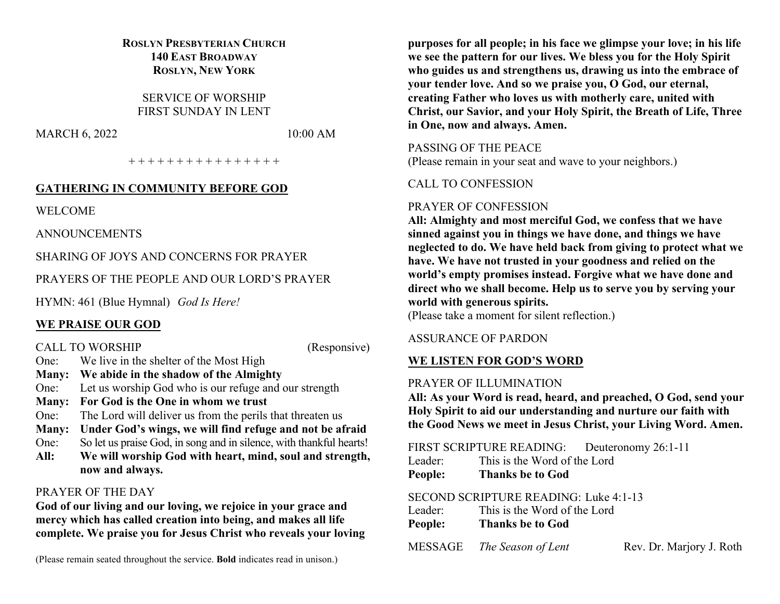# **ROSLYN PRESBYTERIAN CHURCH 140 EAST BROADWAY ROSLYN, NEW YORK**

SERVICE OF WORSHIP FIRST SUNDAY IN LENT

MARCH 6, 2022 10:00 AM

+ + + + + + + + + + + + + + + +

# **GATHERING IN COMMUNITY BEFORE GOD**

WELCOME

ANNOUNCEMENTS

SHARING OF JOYS AND CONCERNS FOR PRAYER

PRAYERS OF THE PEOPLE AND OUR LORD'S PRAYER

HYMN: 461 (Blue Hymnal) *God Is Here!*

# **WE PRAISE OUR GOD**

CALL TO WORSHIP (Responsive)

- One: We live in the shelter of the Most High **Many: We abide in the shadow of the Almighty**
- One: Let us worship God who is our refuge and our strength
- **Many: For God is the One in whom we trust**
- One: The Lord will deliver us from the perils that threaten us
- **Many: Under God's wings, we will find refuge and not be afraid**
- One: So let us praise God, in song and in silence, with thankful hearts!
- **All: We will worship God with heart, mind, soul and strength, now and always.**

# PRAYER OF THE DAY

**God of our living and our loving, we rejoice in your grace and mercy which has called creation into being, and makes all life complete. We praise you for Jesus Christ who reveals your loving** 

(Please remain seated throughout the service. **Bold** indicates read in unison.)

**purposes for all people; in his face we glimpse your love; in his life we see the pattern for our lives. We bless you for the Holy Spirit who guides us and strengthens us, drawing us into the embrace of your tender love. And so we praise you, O God, our eternal, creating Father who loves us with motherly care, united with Christ, our Savior, and your Holy Spirit, the Breath of Life, Three in One, now and always. Amen.**

PASSING OF THE PEACE

(Please remain in your seat and wave to your neighbors.)

# CALL TO CONFESSION

# PRAYER OF CONFESSION

**All: Almighty and most merciful God, we confess that we have sinned against you in things we have done, and things we have neglected to do. We have held back from giving to protect what we have. We have not trusted in your goodness and relied on the world's empty promises instead. Forgive what we have done and direct who we shall become. Help us to serve you by serving your world with generous spirits.**

(Please take a moment for silent reflection.)

# ASSURANCE OF PARDON

# **WE LISTEN FOR GOD'S WORD**

# PRAYER OF ILLUMINATION

**All: As your Word is read, heard, and preached, O God, send your Holy Spirit to aid our understanding and nurture our faith with the Good News we meet in Jesus Christ, your Living Word. Amen.**

FIRST SCRIPTURE READING: Deuteronomy 26:1-11

| Leader: |  | This is the Word of the Lord |
|---------|--|------------------------------|
|         |  |                              |

**People: Thanks be to God**

# SECOND SCRIPTURE READING: Luke 4:1-13

| Leader: | This is the Word of the Lord |                          |  |  |
|---------|------------------------------|--------------------------|--|--|
| People: | <b>Thanks be to God</b>      |                          |  |  |
| MESSAGE | The Season of Lent           | Rev. Dr. Marjory J. Roth |  |  |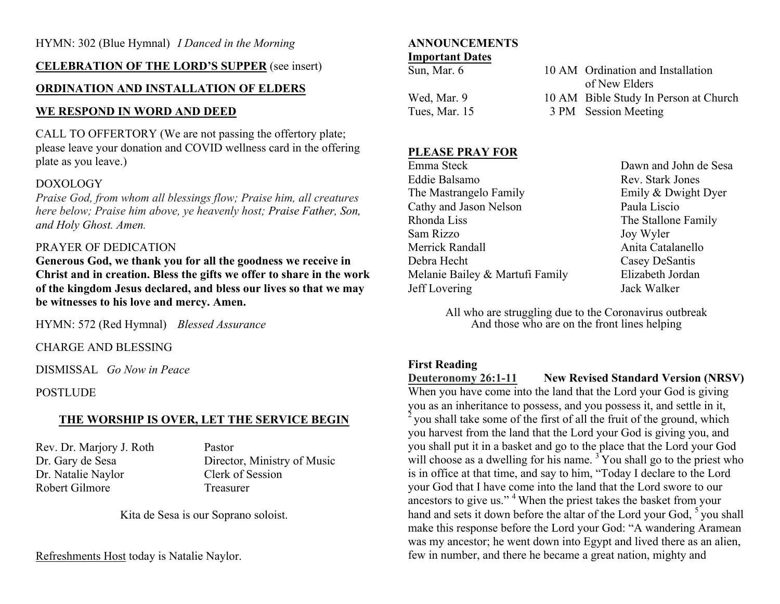### **CELEBRATION OF THE LORD'S SUPPER** (see insert)

# **ORDINATION AND INSTALLATION OF ELDERS**

# **WE RESPOND IN WORD AND DEED**

CALL TO OFFERTORY (We are not passing the offertory plate; please leave your donation and COVID wellness card in the offering plate as you leave.)

# DOXOLOGY

*Praise God, from whom all blessings flow; Praise him, all creatures here below; Praise him above, ye heavenly host; Praise Father, Son, and Holy Ghost. Amen.*

# PRAYER OF DEDICATION

**Generous God, we thank you for all the goodness we receive in Christ and in creation. Bless the gifts we offer to share in the work of the kingdom Jesus declared, and bless our lives so that we may be witnesses to his love and mercy. Amen.**

HYMN: 572 (Red Hymnal) *Blessed Assurance*

CHARGE AND BLESSING

DISMISSAL *Go Now in Peace*

**POSTLUDE** 

# **THE WORSHIP IS OVER, LET THE SERVICE BEGIN**

Rev. Dr. Marjory J. Roth Pastor Dr. Natalie Naylor Clerk of Session Robert Gilmore Treasurer

Dr. Gary de Sesa Director, Ministry of Music

Kita de Sesa is our Soprano soloist.

Refreshments Host today is Natalie Naylor.

#### **ANNOUNCEMENTS Important Dates**

| Sun, Mar. 6   | 10 AM Ordination and Installation     |
|---------------|---------------------------------------|
|               | of New Elders                         |
| Wed, Mar. 9   | 10 AM Bible Study In Person at Church |
| Tues, Mar. 15 | 3 PM Session Meeting                  |

# **PLEASE PRAY FOR**

Emma Steck Dawn and John de Sesa Eddie Balsamo Rev. Stark Jones The Mastrangelo Family **Emily & Dwight Dyer** Cathy and Jason Nelson Paula Liscio Rhonda Liss The Stallone Family Sam Rizzo Joy Wyler Merrick Randall **Anita** Catalanello Debra Hecht Casey DeSantis Melanie Bailey & Martufi Family Elizabeth Jordan Jeff Lovering Jack Walker

All who are struggling due to the Coronavirus outbreak And those who are on the front lines helping

# **First Reading**

**Deuteronomy 26:1-11** New Revised Standard Version (NRSV)

When you have come into the land that the Lord your God is giving you as an inheritance to possess, and you possess it, and settle in it,  $2$  you shall take some of the first of all the fruit of the ground, which you harvest from the land that the Lord your God is giving you, and you shall put it in a basket and go to the place that the Lord your God will choose as a dwelling for his name.<sup>3</sup> You shall go to the priest who is in office at that time, and say to him, "Today I declare to the Lord your God that I have come into the land that the Lord swore to our ancestors to give us." <sup>4</sup> When the priest takes the basket from your hand and sets it down before the altar of the Lord your God,  $5$  you shall make this response before the Lord your God: "A wandering Aramean was my ancestor; he went down into Egypt and lived there as an alien, few in number, and there he became a great nation, mighty and